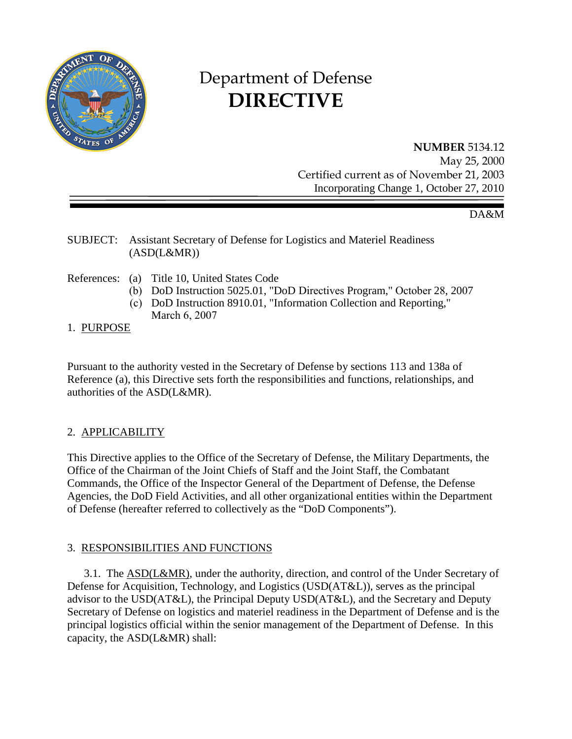

# Department of Defense **DIRECTIVE**

# **NUMBER** 5134.12

May 25, 2000 Certified current as of November 21, 2003 Incorporating Change 1, October 27, 2010

#### DA&M

#### SUBJECT: Assistant Secretary of Defense for Logistics and Materiel Readiness  $(ASD(L&MR))$

- References: (a) Title 10, United States Code
	- (b) DoD Instruction 5025.01, "DoD Directives Program," October 28, 2007
	- (c) DoD Instruction 8910.01, "Information Collection and Reporting," March 6, 2007

#### 1. PURPOSE

Pursuant to the authority vested in the Secretary of Defense by sections 113 and 138a of Reference (a), this Directive sets forth the responsibilities and functions, relationships, and authorities of the ASD(L&MR).

# 2. APPLICABILITY

This Directive applies to the Office of the Secretary of Defense, the Military Departments, the Office of the Chairman of the Joint Chiefs of Staff and the Joint Staff, the Combatant Commands, the Office of the Inspector General of the Department of Defense, the Defense Agencies, the DoD Field Activities, and all other organizational entities within the Department of Defense (hereafter referred to collectively as the "DoD Components").

# 3. RESPONSIBILITIES AND FUNCTIONS

3.1. The ASD(L&MR), under the authority, direction, and control of the Under Secretary of Defense for Acquisition, Technology, and Logistics (USD(AT&L)), serves as the principal advisor to the USD(AT&L), the Principal Deputy USD(AT&L), and the Secretary and Deputy Secretary of Defense on logistics and materiel readiness in the Department of Defense and is the principal logistics official within the senior management of the Department of Defense. In this capacity, the ASD(L&MR) shall: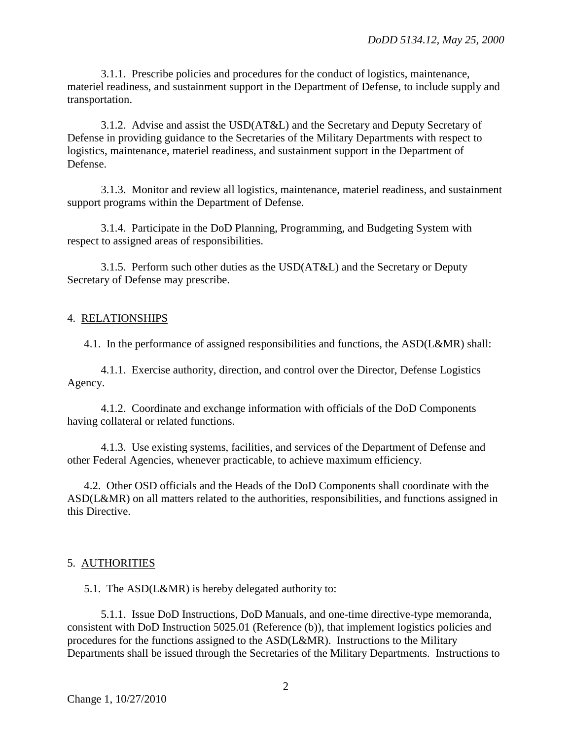3.1.1. Prescribe policies and procedures for the conduct of logistics, maintenance, materiel readiness, and sustainment support in the Department of Defense, to include supply and transportation.

 3.1.2. Advise and assist the USD(AT&L) and the Secretary and Deputy Secretary of Defense in providing guidance to the Secretaries of the Military Departments with respect to logistics, maintenance, materiel readiness, and sustainment support in the Department of Defense.

 3.1.3. Monitor and review all logistics, maintenance, materiel readiness, and sustainment support programs within the Department of Defense.

 3.1.4. Participate in the DoD Planning, Programming, and Budgeting System with respect to assigned areas of responsibilities.

 3.1.5. Perform such other duties as the USD(AT&L) and the Secretary or Deputy Secretary of Defense may prescribe.

#### 4. RELATIONSHIPS

4.1. In the performance of assigned responsibilities and functions, the ASD(L&MR) shall:

 4.1.1. Exercise authority, direction, and control over the Director, Defense Logistics Agency.

 4.1.2. Coordinate and exchange information with officials of the DoD Components having collateral or related functions.

 4.1.3. Use existing systems, facilities, and services of the Department of Defense and other Federal Agencies, whenever practicable, to achieve maximum efficiency.

 4.2. Other OSD officials and the Heads of the DoD Components shall coordinate with the ASD(L&MR) on all matters related to the authorities, responsibilities, and functions assigned in this Directive.

#### 5. AUTHORITIES

5.1. The ASD(L&MR) is hereby delegated authority to:

 5.1.1. Issue DoD Instructions, DoD Manuals, and one-time directive-type memoranda, consistent with DoD Instruction 5025.01 (Reference (b)), that implement logistics policies and procedures for the functions assigned to the ASD(L&MR). Instructions to the Military Departments shall be issued through the Secretaries of the Military Departments. Instructions to